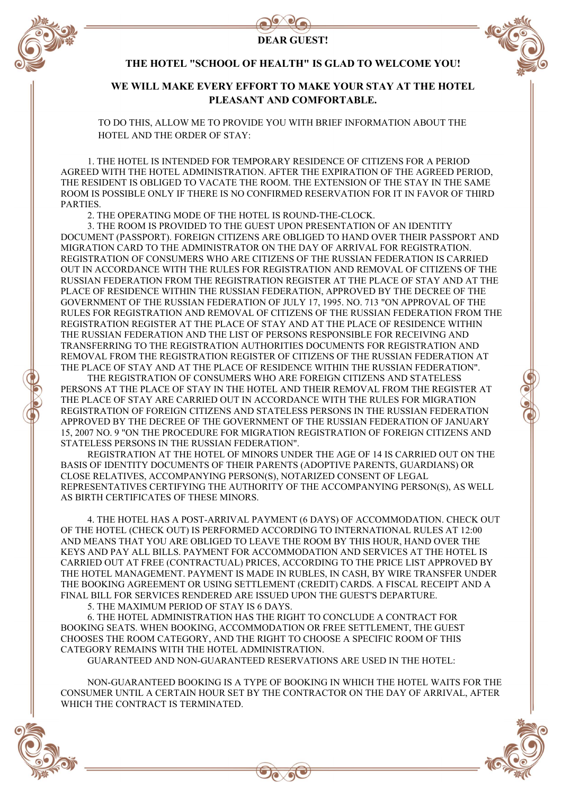

# DEAR GUEST!



#### THE HOTEL "SCHOOL OF HEALTH" IS GLAD TO WELCOME YOU!

### WE WILL MAKE EVERY EFFORT TO MAKE YOUR STAY AT THE HOTEL PLEASANT AND COMFORTABLE.

TO DO THIS, ALLOW ME TO PROVIDE YOU WITH BRIEF INFORMATION ABOUT THE HOTEL AND THE ORDER OF STAY:

1. THE HOTEL IS INTENDED FOR TEMPORARY RESIDENCE OF CITIZENS FOR A PERIOD AGREED WITH THE HOTEL ADMINISTRATION. AFTER THE EXPIRATION OF THE AGREED PERIOD, THE RESIDENT IS OBLIGED TO VACATE THE ROOM. THE EXTENSION OF THE STAY IN THE SAME ROOM IS POSSIBLE ONLY IF THERE IS NO CONFIRMED RESERVATION FOR IT IN FAVOR OF THIRD PARTIES.

2. THE OPERATING MODE OF THE HOTEL IS ROUND-THE-CLOCK.

3. THE ROOM IS PROVIDED TO THE GUEST UPON PRESENTATION OF AN IDENTITY DOCUMENT (PASSPORT). FOREIGN CITIZENS ARE OBLIGED TO HAND OVER THEIR PASSPORT AND MIGRATION CARD TO THE ADMINISTRATOR ON THE DAY OF ARRIVAL FOR REGISTRATION. REGISTRATION OF CONSUMERS WHO ARE CITIZENS OF THE RUSSIAN FEDERATION IS CARRIED OUT IN ACCORDANCE WITH THE RULES FOR REGISTRATION AND REMOVAL OF CITIZENS OF THE RUSSIAN FEDERATION FROM THE REGISTRATION REGISTER AT THE PLACE OF STAY AND AT THE PLACE OF RESIDENCE WITHIN THE RUSSIAN FEDERATION, APPROVED BY THE DECREE OF THE GOVERNMENT OF THE RUSSIAN FEDERATION OF JULY 17, 1995. NO. 713 "ON APPROVAL OF THE RULES FOR REGISTRATION AND REMOVAL OF CITIZENS OF THE RUSSIAN FEDERATION FROM THE REGISTRATION REGISTER AT THE PLACE OF STAY AND AT THE PLACE OF RESIDENCE WITHIN THE RUSSIAN FEDERATION AND THE LIST OF PERSONS RESPONSIBLE FOR RECEIVING AND TRANSFERRING TO THE REGISTRATION AUTHORITIES DOCUMENTS FOR REGISTRATION AND REMOVAL FROM THE REGISTRATION REGISTER OF CITIZENS OF THE RUSSIAN FEDERATION AT THE PLACE OF STAY AND AT THE PLACE OF RESIDENCE WITHIN THE RUSSIAN FEDERATION".

THE REGISTRATION OF CONSUMERS WHO ARE FOREIGN CITIZENS AND STATELESS PERSONS AT THE PLACE OF STAY IN THE HOTEL AND THEIR REMOVAL FROM THE REGISTER AT THE PLACE OF STAY ARE CARRIED OUT IN ACCORDANCE WITH THE RULES FOR MIGRATION REGISTRATION OF FOREIGN CITIZENS AND STATELESS PERSONS IN THE RUSSIAN FEDERATION APPROVED BY THE DECREE OF THE GOVERNMENT OF THE RUSSIAN FEDERATION OF JANUARY 15, 2007 NO. 9 "ON THE PROCEDURE FOR MIGRATION REGISTRATION OF FOREIGN CITIZENS AND STATELESS PERSONS IN THE RUSSIAN FEDERATION".

REGISTRATION AT THE HOTEL OF MINORS UNDER THE AGE OF 14 IS CARRIED OUT ON THE BASIS OF IDENTITY DOCUMENTS OF THEIR PARENTS (ADOPTIVE PARENTS, GUARDIANS) OR CLOSE RELATIVES, ACCOMPANYING PERSON(S), NOTARIZED CONSENT OF LEGAL REPRESENTATIVES CERTIFYING THE AUTHORITY OF THE ACCOMPANYING PERSON(S), AS WELL AS BIRTH CERTIFICATES OF THESE MINORS.

4. THE HOTEL HAS A POST-ARRIVAL PAYMENT (6 DAYS) OF ACCOMMODATION. CHECK OUT OF THE HOTEL (CHECK OUT) IS PERFORMED ACCORDING TO INTERNATIONAL RULES AT 12:00 AND MEANS THAT YOU ARE OBLIGED TO LEAVE THE ROOM BY THIS HOUR, HAND OVER THE KEYS AND PAY ALL BILLS. PAYMENT FOR ACCOMMODATION AND SERVICES AT THE HOTEL IS CARRIED OUT AT FREE (CONTRACTUAL) PRICES, ACCORDING TO THE PRICE LIST APPROVED BY THE HOTEL MANAGEMENT. PAYMENT IS MADE IN RUBLES, IN CASH, BY WIRE TRANSFER UNDER THE BOOKING AGREEMENT OR USING SETTLEMENT (CREDIT) CARDS. A FISCAL RECEIPT AND A FINAL BILL FOR SERVICES RENDERED ARE ISSUED UPON THE GUEST'S DEPARTURE.

5. THE MAXIMUM PERIOD OF STAY IS 6 DAYS.

6. THE HOTEL ADMINISTRATION HAS THE RIGHT TO CONCLUDE A CONTRACT FOR BOOKING SEATS. WHEN BOOKING, ACCOMMODATION OR FREE SETTLEMENT, THE GUEST CHOOSES THE ROOM CATEGORY, AND THE RIGHT TO CHOOSE A SPECIFIC ROOM OF THIS CATEGORY REMAINS WITH THE HOTEL ADMINISTRATION.

GUARANTEED AND NON-GUARANTEED RESERVATIONS ARE USED IN THE HOTEL:

NON-GUARANTEED BOOKING IS A TYPE OF BOOKING IN WHICH THE HOTEL WAITS FOR THE CONSUMER UNTIL A CERTAIN HOUR SET BY THE CONTRACTOR ON THE DAY OF ARRIVAL, AFTER WHICH THE CONTRACT IS TERMINATED.



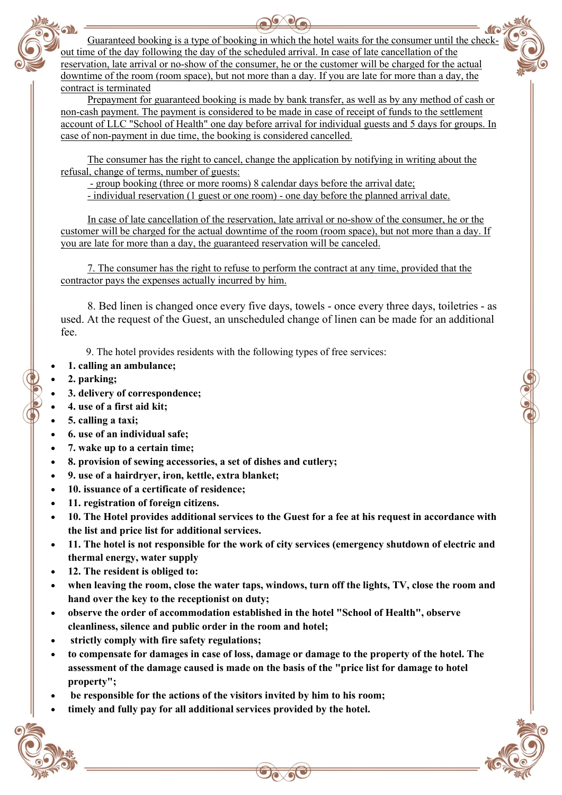Guaranteed booking is a type of booking in which the hotel waits for the consumer until the checkout time of the day following the day of the scheduled arrival. In case of late cancellation of the reservation, late arrival or no-show of the consumer, he or the customer will be charged for the actual downtime of the room (room space), but not more than a day. If you are late for more than a day, the contract is terminated

Prepayment for guaranteed booking is made by bank transfer, as well as by any method of cash or non-cash payment. The payment is considered to be made in case of receipt of funds to the settlement account of LLC "School of Health" one day before arrival for individual guests and 5 days for groups. In case of non-payment in due time, the booking is considered cancelled.

The consumer has the right to cancel, change the application by notifying in writing about the refusal, change of terms, number of guests:

- group booking (three or more rooms) 8 calendar days before the arrival date;

- individual reservation (1 guest or one room) - one day before the planned arrival date.

In case of late cancellation of the reservation, late arrival or no-show of the consumer, he or the customer will be charged for the actual downtime of the room (room space), but not more than a day. If you are late for more than a day, the guaranteed reservation will be canceled.

7. The consumer has the right to refuse to perform the contract at any time, provided that the contractor pays the expenses actually incurred by him.

8. Bed linen is changed once every five days, towels - once every three days, toiletries - as used. At the request of the Guest, an unscheduled change of linen can be made for an additional fee.

9. The hotel provides residents with the following types of free services:

- 1. calling an ambulance;
- 2. parking;
- 3. delivery of correspondence;
- 4. use of a first aid kit;
- 5. calling a taxi;
- 6. use of an individual safe;
- 7. wake up to a certain time;
- 8. provision of sewing accessories, a set of dishes and cutlery;
- 9. use of a hairdryer, iron, kettle, extra blanket;
- 10. issuance of a certificate of residence;
- 11. registration of foreign citizens.
- 10. The Hotel provides additional services to the Guest for a fee at his request in accordance with the list and price list for additional services.
- 11. The hotel is not responsible for the work of city services (emergency shutdown of electric and thermal energy, water supply
- 12. The resident is obliged to:
- when leaving the room, close the water taps, windows, turn off the lights, TV, close the room and hand over the key to the receptionist on duty;
- observe the order of accommodation established in the hotel "School of Health", observe cleanliness, silence and public order in the room and hotel;
- strictly comply with fire safety regulations;
- to compensate for damages in case of loss, damage or damage to the property of the hotel. The assessment of the damage caused is made on the basis of the "price list for damage to hotel property";
- be responsible for the actions of the visitors invited by him to his room;
- timely and fully pay for all additional services provided by the hotel.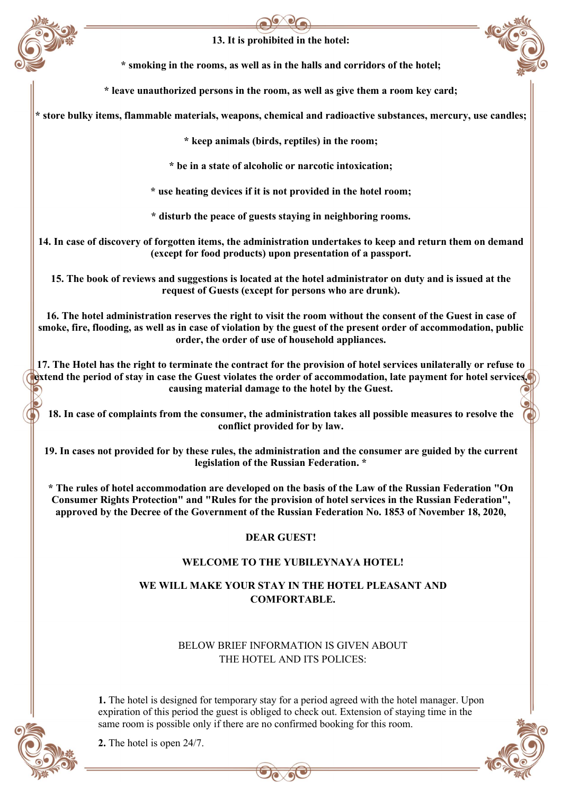

# 13. It is prohibited in the hotel:

\* smoking in the rooms, as well as in the halls and corridors of the hotel;

\* leave unauthorized persons in the room, as well as give them a room key card;

\* store bulky items, flammable materials, weapons, chemical and radioactive substances, mercury, use candles;

\* keep animals (birds, reptiles) in the room;

\* be in a state of alcoholic or narcotic intoxication;

\* use heating devices if it is not provided in the hotel room;

\* disturb the peace of guests staying in neighboring rooms.

14. In case of discovery of forgotten items, the administration undertakes to keep and return them on demand (except for food products) upon presentation of a passport.

15. The book of reviews and suggestions is located at the hotel administrator on duty and is issued at the request of Guests (except for persons who are drunk).

16. The hotel administration reserves the right to visit the room without the consent of the Guest in case of smoke, fire, flooding, as well as in case of violation by the guest of the present order of accommodation, public order, the order of use of household appliances.

17. The Hotel has the right to terminate the contract for the provision of hotel services unilaterally or refuse to extend the period of stay in case the Guest violates the order of accommodation, late payment for hotel services, causing material damage to the hotel by the Guest.

18. In case of complaints from the consumer, the administration takes all possible measures to resolve the conflict provided for by law.

19. In cases not provided for by these rules, the administration and the consumer are guided by the current legislation of the Russian Federation. \*

\* The rules of hotel accommodation are developed on the basis of the Law of the Russian Federation "On Consumer Rights Protection" and "Rules for the provision of hotel services in the Russian Federation", approved by the Decree of the Government of the Russian Federation No. 1853 of November 18, 2020,

### DEAR GUEST!

### WELCOME TO THE YUBILEYNAYA HOTEL!

## WE WILL MAKE YOUR STAY IN THE HOTEL PLEASANT AND COMFORTABLE.

BELOW BRIEF INFORMATION IS GIVEN ABOUT THE HOTEL AND ITS POLICES:

1. The hotel is designed for temporary stay for a period agreed with the hotel manager. Upon expiration of this period the guest is obliged to check out. Extension of staying time in the same room is possible only if there are no confirmed booking for this room.



2. The hotel is open 24/7.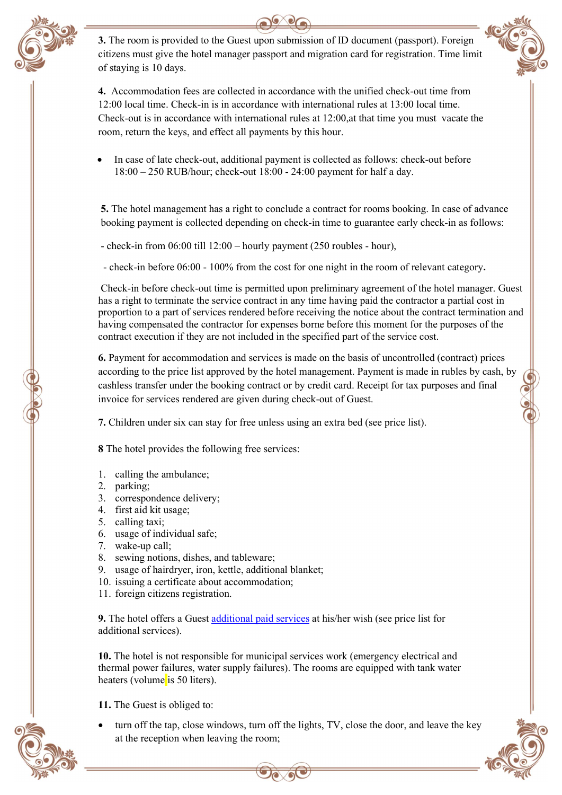

3. The room is provided to the Guest upon submission of ID document (passport). Foreign citizens must give the hotel manager passport and migration card for registration. Time limit of staying is 10 days.



4. Accommodation fees are collected in accordance with the unified check-out time from 12:00 local time. Check-in is in accordance with international rules at 13:00 local time. Check-out is in accordance with international rules at 12:00,аt that time you must vacate the room, return the keys, and effect all payments by this hour.

 In case of late check-out, additional payment is collected as follows: check-out before 18:00 – 250 RUB/hour; check-out 18:00 - 24:00 payment for half a day.

5. The hotel management has a right to conclude a contract for rooms booking. In case of advance booking payment is collected depending on check-in time to guarantee early check-in as follows:

- check-in from 06:00 till 12:00 – hourly payment (250 roubles - hour),

- check-in before 06:00 - 100% from the cost for one night in the room of relevant category.

Check-in before check-out time is permitted upon preliminary agreement of the hotel manager. Guest has a right to terminate the service contract in any time having paid the contractor a partial cost in proportion to a part of services rendered before receiving the notice about the contract termination and having compensated the contractor for expenses borne before this moment for the purposes of the contract execution if they are not included in the specified part of the service cost.

6. Payment for accommodation and services is made on the basis of uncontrolled (contract) prices according to the price list approved by the hotel management. Payment is made in rubles by cash, by cashless transfer under the booking contract or by credit card. Receipt for tax purposes and final invoice for services rendered are given during check-out of Guest.

7. Children under six can stay for free unless using an extra bed (see price list).

8 The hotel provides the following free services:

- 1. calling the ambulance;
- 2. parking;
- 3. correspondence delivery;
- 4. first aid kit usage;
- 5. calling taxi;
- 6. usage of individual safe;
- 7. wake-up call;
- 8. sewing notions, dishes, and tableware;
- 9. usage of hairdryer, iron, kettle, additional blanket;
- 10. issuing a certificate about accommodation;
- 11. foreign citizens registration.

9. The hotel offers a Guest additional paid services at his/her wish (see price list for additional services).

10. The hotel is not responsible for municipal services work (emergency electrical and thermal power failures, water supply failures). The rooms are equipped with tank water heaters (volume is 50 liters).

11. The Guest is obliged to:

 turn off the tap, close windows, turn off the lights, TV, close the door, and leave the key at the reception when leaving the room;